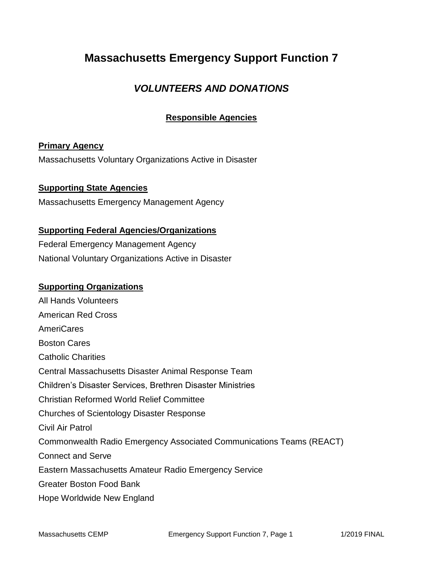## **Massachusetts Emergency Support Function 7**

### *VOLUNTEERS AND DONATIONS*

### **Responsible Agencies**

#### **Primary Agency**

Massachusetts Voluntary Organizations Active in Disaster

#### **Supporting State Agencies**

Massachusetts Emergency Management Agency

#### **Supporting Federal Agencies/Organizations**

Federal Emergency Management Agency National Voluntary Organizations Active in Disaster

#### **Supporting Organizations**

All Hands Volunteers American Red Cross AmeriCares Boston Cares Catholic Charities Central Massachusetts Disaster Animal Response Team Children's Disaster Services, Brethren Disaster Ministries Christian Reformed World Relief Committee Churches of Scientology Disaster Response Civil Air Patrol Commonwealth Radio Emergency Associated Communications Teams (REACT) Connect and Serve Eastern Massachusetts Amateur Radio Emergency Service Greater Boston Food Bank Hope Worldwide New England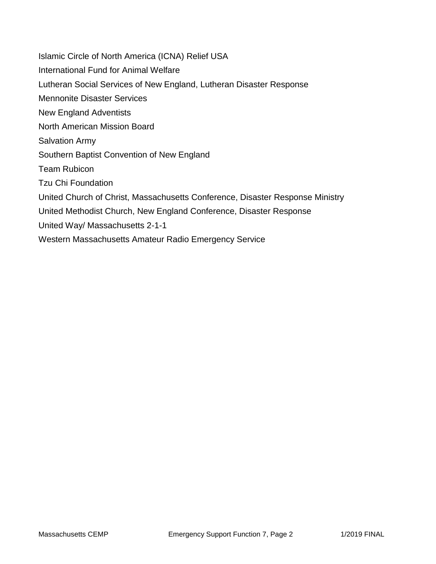Islamic Circle of North America (ICNA) Relief USA International Fund for Animal Welfare Lutheran Social Services of New England, Lutheran Disaster Response Mennonite Disaster Services New England Adventists North American Mission Board Salvation Army Southern Baptist Convention of New England Team Rubicon Tzu Chi Foundation United Church of Christ, Massachusetts Conference, Disaster Response Ministry United Methodist Church, New England Conference, Disaster Response United Way/ Massachusetts 2-1-1 Western Massachusetts Amateur Radio Emergency Service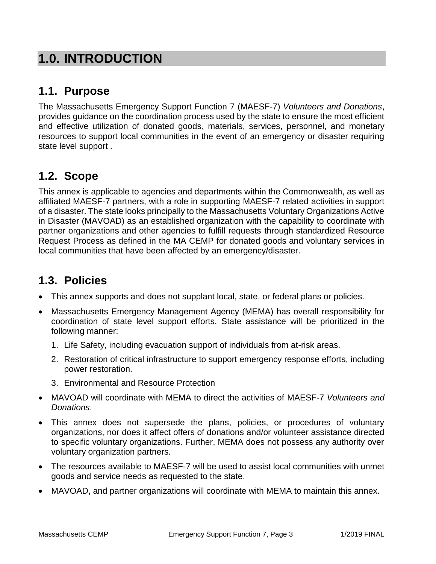# **1.0. INTRODUCTION**

### **1.1. Purpose**

The Massachusetts Emergency Support Function 7 (MAESF-7) *Volunteers and Donations*, provides guidance on the coordination process used by the state to ensure the most efficient and effective utilization of donated goods, materials, services, personnel, and monetary resources to support local communities in the event of an emergency or disaster requiring state level support .

## **1.2. Scope**

This annex is applicable to agencies and departments within the Commonwealth, as well as affiliated MAESF-7 partners, with a role in supporting MAESF-7 related activities in support of a disaster. The state looks principally to the Massachusetts Voluntary Organizations Active in Disaster (MAVOAD) as an established organization with the capability to coordinate with partner organizations and other agencies to fulfill requests through standardized Resource Request Process as defined in the MA CEMP for donated goods and voluntary services in local communities that have been affected by an emergency/disaster.

## **1.3. Policies**

- This annex supports and does not supplant local, state, or federal plans or policies.
- Massachusetts Emergency Management Agency (MEMA) has overall responsibility for coordination of state level support efforts. State assistance will be prioritized in the following manner:
	- 1. Life Safety, including evacuation support of individuals from at-risk areas.
	- 2. Restoration of critical infrastructure to support emergency response efforts, including power restoration.
	- 3. Environmental and Resource Protection
- MAVOAD will coordinate with MEMA to direct the activities of MAESF-7 *Volunteers and Donations*.
- This annex does not supersede the plans, policies, or procedures of voluntary organizations, nor does it affect offers of donations and/or volunteer assistance directed to specific voluntary organizations. Further, MEMA does not possess any authority over voluntary organization partners.
- The resources available to MAESF-7 will be used to assist local communities with unmet goods and service needs as requested to the state.
- MAVOAD, and partner organizations will coordinate with MEMA to maintain this annex.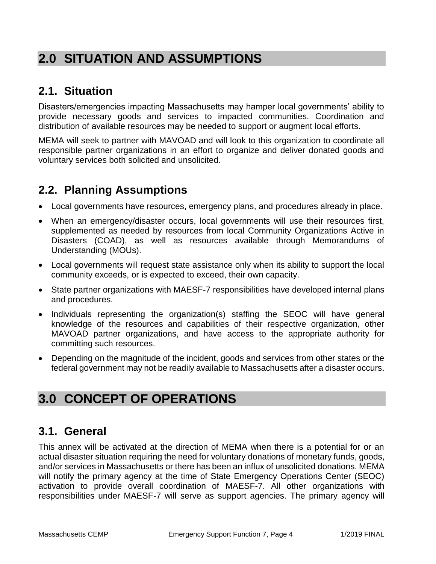# **2.0 SITUATION AND ASSUMPTIONS**

### **2.1. Situation**

Disasters/emergencies impacting Massachusetts may hamper local governments' ability to provide necessary goods and services to impacted communities. Coordination and distribution of available resources may be needed to support or augment local efforts.

MEMA will seek to partner with MAVOAD and will look to this organization to coordinate all responsible partner organizations in an effort to organize and deliver donated goods and voluntary services both solicited and unsolicited.

## **2.2. Planning Assumptions**

- Local governments have resources, emergency plans, and procedures already in place.
- When an emergency/disaster occurs, local governments will use their resources first, supplemented as needed by resources from local Community Organizations Active in Disasters (COAD), as well as resources available through Memorandums of Understanding (MOUs).
- Local governments will request state assistance only when its ability to support the local community exceeds, or is expected to exceed, their own capacity.
- State partner organizations with MAESF-7 responsibilities have developed internal plans and procedures.
- Individuals representing the organization(s) staffing the SEOC will have general knowledge of the resources and capabilities of their respective organization, other MAVOAD partner organizations, and have access to the appropriate authority for committing such resources.
- Depending on the magnitude of the incident, goods and services from other states or the federal government may not be readily available to Massachusetts after a disaster occurs.

# **3.0 CONCEPT OF OPERATIONS**

## **3.1. General**

This annex will be activated at the direction of MEMA when there is a potential for or an actual disaster situation requiring the need for voluntary donations of monetary funds, goods, and/or services in Massachusetts or there has been an influx of unsolicited donations. MEMA will notify the primary agency at the time of State Emergency Operations Center (SEOC) activation to provide overall coordination of MAESF-7. All other organizations with responsibilities under MAESF-7 will serve as support agencies. The primary agency will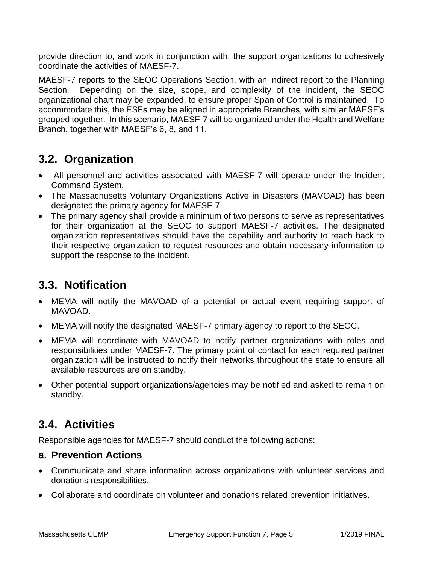provide direction to, and work in conjunction with, the support organizations to cohesively coordinate the activities of MAESF-7.

MAESF-7 reports to the SEOC Operations Section, with an indirect report to the Planning Section. Depending on the size, scope, and complexity of the incident, the SEOC organizational chart may be expanded, to ensure proper Span of Control is maintained. To accommodate this, the ESFs may be aligned in appropriate Branches, with similar MAESF's grouped together. In this scenario, MAESF-7 will be organized under the Health and Welfare Branch, together with MAESF's 6, 8, and 11.

## **3.2. Organization**

- All personnel and activities associated with MAESF-7 will operate under the Incident Command System.
- The Massachusetts Voluntary Organizations Active in Disasters (MAVOAD) has been designated the primary agency for MAESF-7.
- The primary agency shall provide a minimum of two persons to serve as representatives for their organization at the SEOC to support MAESF-7 activities. The designated organization representatives should have the capability and authority to reach back to their respective organization to request resources and obtain necessary information to support the response to the incident.

## **3.3. Notification**

- MEMA will notify the MAVOAD of a potential or actual event requiring support of MAVOAD.
- MEMA will notify the designated MAESF-7 primary agency to report to the SEOC.
- MEMA will coordinate with MAVOAD to notify partner organizations with roles and responsibilities under MAESF-7. The primary point of contact for each required partner organization will be instructed to notify their networks throughout the state to ensure all available resources are on standby.
- Other potential support organizations/agencies may be notified and asked to remain on standby.

## **3.4. Activities**

Responsible agencies for MAESF-7 should conduct the following actions:

### **a. Prevention Actions**

- Communicate and share information across organizations with volunteer services and donations responsibilities.
- Collaborate and coordinate on volunteer and donations related prevention initiatives.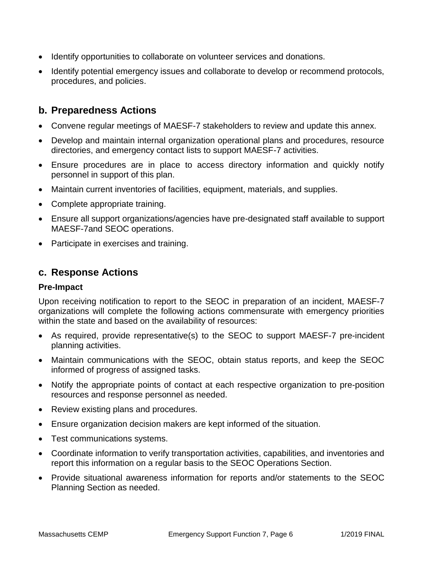- Identify opportunities to collaborate on volunteer services and donations.
- Identify potential emergency issues and collaborate to develop or recommend protocols, procedures, and policies.

### **b. Preparedness Actions**

- Convene regular meetings of MAESF-7 stakeholders to review and update this annex.
- Develop and maintain internal organization operational plans and procedures, resource directories, and emergency contact lists to support MAESF-7 activities.
- Ensure procedures are in place to access directory information and quickly notify personnel in support of this plan.
- Maintain current inventories of facilities, equipment, materials, and supplies.
- Complete appropriate training.
- Ensure all support organizations/agencies have pre-designated staff available to support MAESF-7and SEOC operations.
- Participate in exercises and training.

### **c. Response Actions**

#### **Pre-Impact**

Upon receiving notification to report to the SEOC in preparation of an incident, MAESF-7 organizations will complete the following actions commensurate with emergency priorities within the state and based on the availability of resources:

- As required, provide representative(s) to the SEOC to support MAESF-7 pre-incident planning activities.
- Maintain communications with the SEOC, obtain status reports, and keep the SEOC informed of progress of assigned tasks.
- Notify the appropriate points of contact at each respective organization to pre-position resources and response personnel as needed.
- Review existing plans and procedures.
- Ensure organization decision makers are kept informed of the situation.
- Test communications systems.
- Coordinate information to verify transportation activities, capabilities, and inventories and report this information on a regular basis to the SEOC Operations Section.
- Provide situational awareness information for reports and/or statements to the SEOC Planning Section as needed.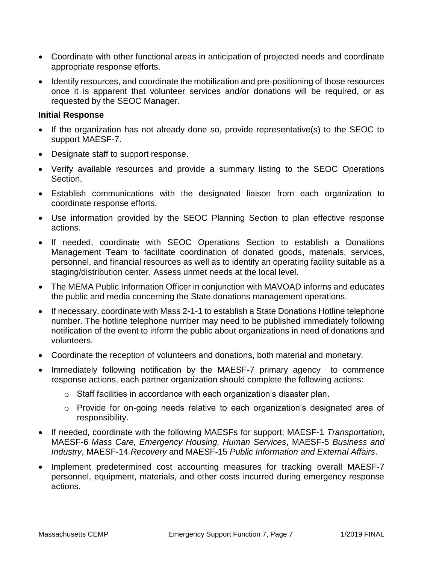- Coordinate with other functional areas in anticipation of projected needs and coordinate appropriate response efforts.
- Identify resources, and coordinate the mobilization and pre-positioning of those resources once it is apparent that volunteer services and/or donations will be required, or as requested by the SEOC Manager.

#### **Initial Response**

- If the organization has not already done so, provide representative(s) to the SEOC to support MAESF-7.
- Designate staff to support response.
- Verify available resources and provide a summary listing to the SEOC Operations Section.
- Establish communications with the designated liaison from each organization to coordinate response efforts.
- Use information provided by the SEOC Planning Section to plan effective response actions.
- If needed, coordinate with SEOC Operations Section to establish a Donations Management Team to facilitate coordination of donated goods, materials, services, personnel, and financial resources as well as to identify an operating facility suitable as a staging/distribution center. Assess unmet needs at the local level.
- The MEMA Public Information Officer in conjunction with MAVOAD informs and educates the public and media concerning the State donations management operations.
- If necessary, coordinate with Mass 2-1-1 to establish a State Donations Hotline telephone number. The hotline telephone number may need to be published immediately following notification of the event to inform the public about organizations in need of donations and volunteers.
- Coordinate the reception of volunteers and donations, both material and monetary.
- Immediately following notification by the MAESF-7 primary agency to commence response actions, each partner organization should complete the following actions:
	- $\circ$  Staff facilities in accordance with each organization's disaster plan.
	- o Provide for on-going needs relative to each organization's designated area of responsibility.
- If needed, coordinate with the following MAESFs for support; MAESF-1 *Transportation*, MAESF-6 *Mass Care, Emergency Housing, Human Services*, MAESF-5 *Business and Industry*, MAESF-14 *Recovery* and MAESF-15 *Public Information and External Affairs*.
- Implement predetermined cost accounting measures for tracking overall MAESF-7 personnel, equipment, materials, and other costs incurred during emergency response actions.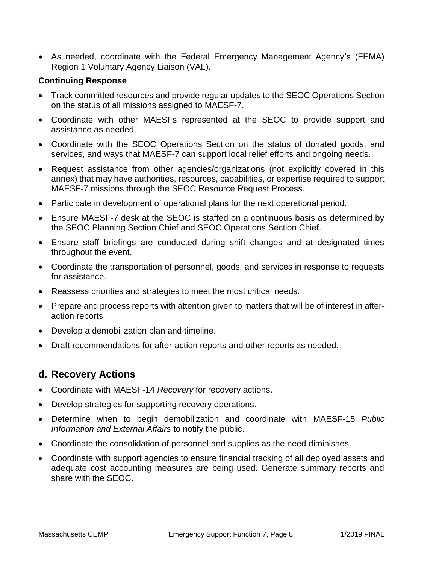As needed, coordinate with the Federal Emergency Management Agency's (FEMA) Region 1 Voluntary Agency Liaison (VAL).

#### **Continuing Response**

- Track committed resources and provide regular updates to the SEOC Operations Section on the status of all missions assigned to MAESF-7.
- Coordinate with other MAESFs represented at the SEOC to provide support and assistance as needed.
- Coordinate with the SEOC Operations Section on the status of donated goods, and services, and ways that MAESF-7 can support local relief efforts and ongoing needs.
- Request assistance from other agencies/organizations (not explicitly covered in this annex) that may have authorities, resources, capabilities, or expertise required to support MAESF-7 missions through the SEOC Resource Request Process.
- Participate in development of operational plans for the next operational period.
- Ensure MAESF-7 desk at the SEOC is staffed on a continuous basis as determined by the SEOC Planning Section Chief and SEOC Operations Section Chief.
- Ensure staff briefings are conducted during shift changes and at designated times throughout the event.
- Coordinate the transportation of personnel, goods, and services in response to requests for assistance.
- Reassess priorities and strategies to meet the most critical needs.
- Prepare and process reports with attention given to matters that will be of interest in afteraction reports
- Develop a demobilization plan and timeline.
- Draft recommendations for after-action reports and other reports as needed.

### **d. Recovery Actions**

- Coordinate with MAESF-14 *Recovery* for recovery actions.
- Develop strategies for supporting recovery operations.
- Determine when to begin demobilization and coordinate with MAESF-15 *Public Information and External Affairs* to notify the public.
- Coordinate the consolidation of personnel and supplies as the need diminishes.
- Coordinate with support agencies to ensure financial tracking of all deployed assets and adequate cost accounting measures are being used. Generate summary reports and share with the SEOC.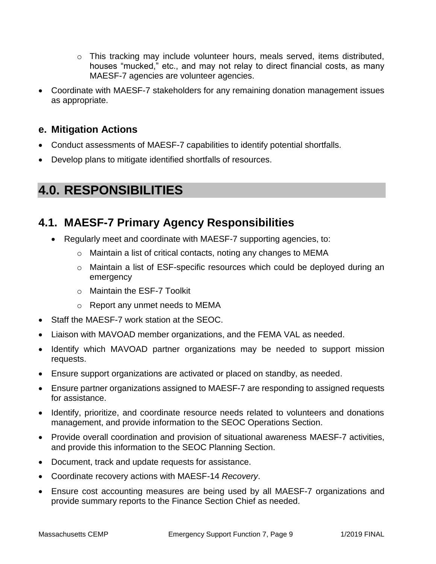- o This tracking may include volunteer hours, meals served, items distributed, houses "mucked," etc., and may not relay to direct financial costs, as many MAESF-7 agencies are volunteer agencies.
- Coordinate with MAESF-7 stakeholders for any remaining donation management issues as appropriate.

### **e. Mitigation Actions**

- Conduct assessments of MAESF-7 capabilities to identify potential shortfalls.
- Develop plans to mitigate identified shortfalls of resources.

# **4.0. RESPONSIBILITIES**

### **4.1. MAESF-7 Primary Agency Responsibilities**

- Regularly meet and coordinate with MAESF-7 supporting agencies, to:
	- o Maintain a list of critical contacts, noting any changes to MEMA
	- o Maintain a list of ESF-specific resources which could be deployed during an emergency
	- o Maintain the ESF-7 Toolkit
	- o Report any unmet needs to MEMA
- Staff the MAESF-7 work station at the SEOC.
- Liaison with MAVOAD member organizations, and the FEMA VAL as needed.
- Identify which MAVOAD partner organizations may be needed to support mission requests.
- Ensure support organizations are activated or placed on standby, as needed.
- Ensure partner organizations assigned to MAESF-7 are responding to assigned requests for assistance.
- Identify, prioritize, and coordinate resource needs related to volunteers and donations management, and provide information to the SEOC Operations Section.
- Provide overall coordination and provision of situational awareness MAESF-7 activities, and provide this information to the SEOC Planning Section.
- Document, track and update requests for assistance.
- Coordinate recovery actions with MAESF-14 *Recovery*.
- Ensure cost accounting measures are being used by all MAESF-7 organizations and provide summary reports to the Finance Section Chief as needed.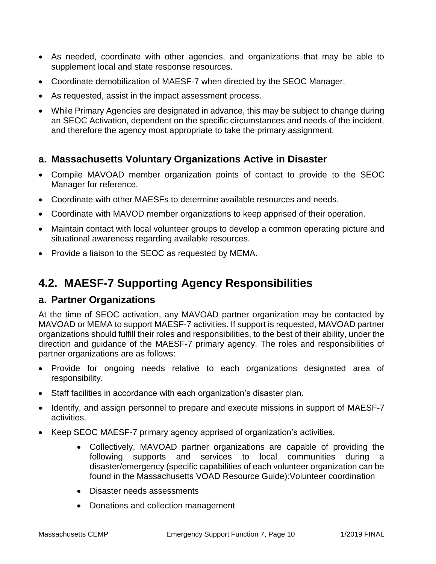- As needed, coordinate with other agencies, and organizations that may be able to supplement local and state response resources.
- Coordinate demobilization of MAESF-7 when directed by the SEOC Manager.
- As requested, assist in the impact assessment process.
- While Primary Agencies are designated in advance, this may be subject to change during an SEOC Activation, dependent on the specific circumstances and needs of the incident, and therefore the agency most appropriate to take the primary assignment.

### **a. Massachusetts Voluntary Organizations Active in Disaster**

- Compile MAVOAD member organization points of contact to provide to the SEOC Manager for reference.
- Coordinate with other MAESFs to determine available resources and needs.
- Coordinate with MAVOD member organizations to keep apprised of their operation.
- Maintain contact with local volunteer groups to develop a common operating picture and situational awareness regarding available resources.
- Provide a liaison to the SEOC as requested by MEMA.

## **4.2. MAESF-7 Supporting Agency Responsibilities**

### **a. Partner Organizations**

At the time of SEOC activation, any MAVOAD partner organization may be contacted by MAVOAD or MEMA to support MAESF-7 activities. If support is requested, MAVOAD partner organizations should fulfill their roles and responsibilities, to the best of their ability, under the direction and guidance of the MAESF-7 primary agency. The roles and responsibilities of partner organizations are as follows:

- Provide for ongoing needs relative to each organizations designated area of responsibility.
- Staff facilities in accordance with each organization's disaster plan.
- Identify, and assign personnel to prepare and execute missions in support of MAESF-7 activities.
- Keep SEOC MAESF-7 primary agency apprised of organization's activities.
	- Collectively, MAVOAD partner organizations are capable of providing the following supports and services to local communities during a disaster/emergency (specific capabilities of each volunteer organization can be found in the Massachusetts VOAD Resource Guide):Volunteer coordination
	- Disaster needs assessments
	- Donations and collection management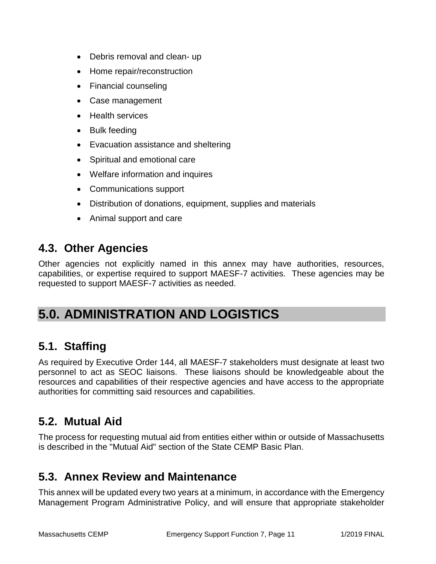- Debris removal and clean- up
- Home repair/reconstruction
- Financial counseling
- Case management
- Health services
- Bulk feeding
- Evacuation assistance and sheltering
- Spiritual and emotional care
- Welfare information and inquires
- Communications support
- Distribution of donations, equipment, supplies and materials
- Animal support and care

### **4.3. Other Agencies**

Other agencies not explicitly named in this annex may have authorities, resources, capabilities, or expertise required to support MAESF-7 activities. These agencies may be requested to support MAESF-7 activities as needed.

# **5.0. ADMINISTRATION AND LOGISTICS**

### **5.1. Staffing**

As required by Executive Order 144, all MAESF-7 stakeholders must designate at least two personnel to act as SEOC liaisons. These liaisons should be knowledgeable about the resources and capabilities of their respective agencies and have access to the appropriate authorities for committing said resources and capabilities.

### **5.2. Mutual Aid**

The process for requesting mutual aid from entities either within or outside of Massachusetts is described in the "Mutual Aid" section of the State CEMP Basic Plan.

### **5.3. Annex Review and Maintenance**

This annex will be updated every two years at a minimum, in accordance with the Emergency Management Program Administrative Policy, and will ensure that appropriate stakeholder